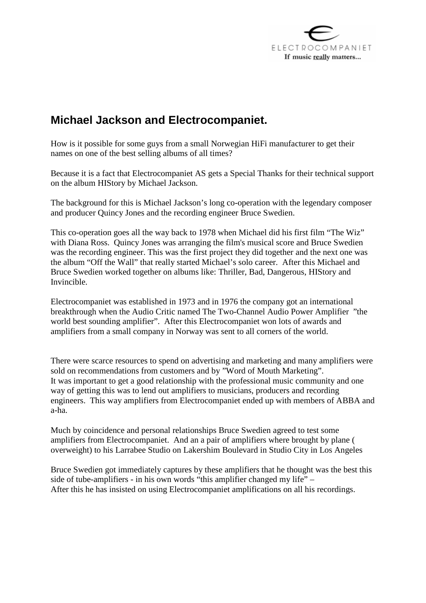

## **Michael Jackson and Electrocompaniet.**

How is it possible for some guys from a small Norwegian HiFi manufacturer to get their names on one of the best selling albums of all times?

Because it is a fact that Electrocompaniet AS gets a Special Thanks for their technical support on the album HIStory by Michael Jackson.

The background for this is Michael Jackson's long co-operation with the legendary composer and producer Quincy Jones and the recording engineer Bruce Swedien.

This co-operation goes all the way back to 1978 when Michael did his first film "The Wiz" with Diana Ross. Quincy Jones was arranging the film's musical score and Bruce Swedien was the recording engineer. This was the first project they did together and the next one was the album "Off the Wall" that really started Michael's solo career. After this Michael and Bruce Swedien worked together on albums like: Thriller, Bad, Dangerous, HIStory and Invincible.

Electrocompaniet was established in 1973 and in 1976 the company got an international breakthrough when the Audio Critic named The Two-Channel Audio Power Amplifier "the world best sounding amplifier". After this Electrocompaniet won lots of awards and amplifiers from a small company in Norway was sent to all corners of the world.

There were scarce resources to spend on advertising and marketing and many amplifiers were sold on recommendations from customers and by "Word of Mouth Marketing". It was important to get a good relationship with the professional music community and one way of getting this was to lend out amplifiers to musicians, producers and recording engineers. This way amplifiers from Electrocompaniet ended up with members of ABBA and a-ha.

Much by coincidence and personal relationships Bruce Swedien agreed to test some amplifiers from Electrocompaniet. And an a pair of amplifiers where brought by plane ( overweight) to his Larrabee Studio on Lakershim Boulevard in Studio City in Los Angeles

Bruce Swedien got immediately captures by these amplifiers that he thought was the best this side of tube-amplifiers - in his own words "this amplifier changed my life" – After this he has insisted on using Electrocompaniet amplifications on all his recordings.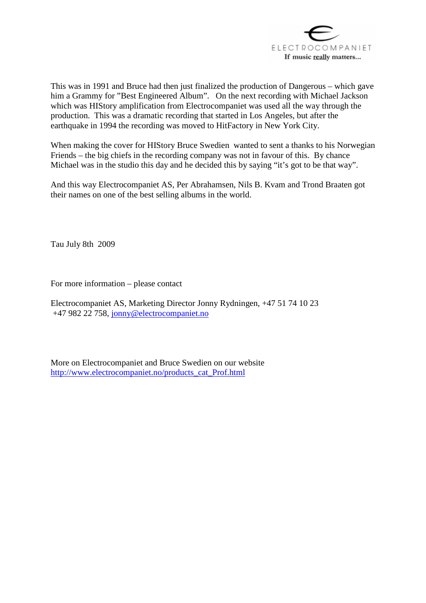

This was in 1991 and Bruce had then just finalized the production of Dangerous – which gave him a Grammy for "Best Engineered Album". On the next recording with Michael Jackson which was HIStory amplification from Electrocompaniet was used all the way through the production. This was a dramatic recording that started in Los Angeles, but after the earthquake in 1994 the recording was moved to HitFactory in New York City.

When making the cover for HIStory Bruce Swedien wanted to sent a thanks to his Norwegian Friends – the big chiefs in the recording company was not in favour of this. By chance Michael was in the studio this day and he decided this by saying "it's got to be that way".

And this way Electrocompaniet AS, Per Abrahamsen, Nils B. Kvam and Trond Braaten got their names on one of the best selling albums in the world.

Tau July 8th 2009

For more information – please contact

Electrocompaniet AS, Marketing Director Jonny Rydningen, +47 51 74 10 23 +47 982 22 758, jonny@electrocompaniet.no

More on Electrocompaniet and Bruce Swedien on our website http://www.electrocompaniet.no/products\_cat\_Prof.html